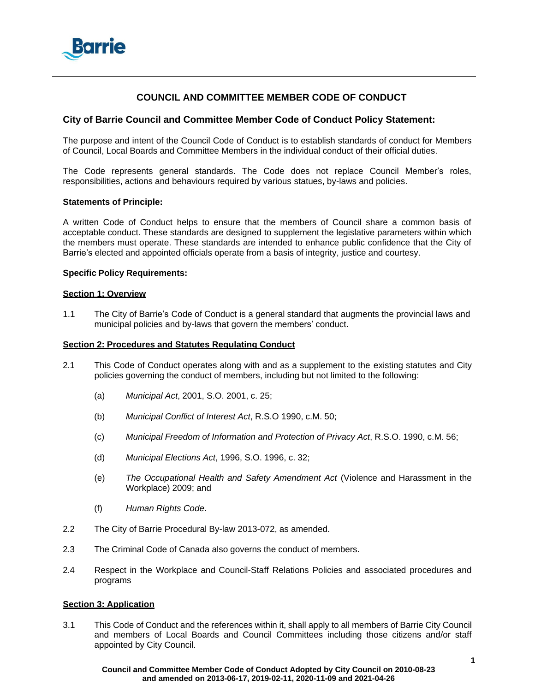

# **COUNCIL AND COMMITTEE MEMBER CODE OF CONDUCT**

# **City of Barrie Council and Committee Member Code of Conduct Policy Statement:**

The purpose and intent of the Council Code of Conduct is to establish standards of conduct for Members of Council, Local Boards and Committee Members in the individual conduct of their official duties.

The Code represents general standards. The Code does not replace Council Member's roles, responsibilities, actions and behaviours required by various statues, by-laws and policies.

### **Statements of Principle:**

A written Code of Conduct helps to ensure that the members of Council share a common basis of acceptable conduct. These standards are designed to supplement the legislative parameters within which the members must operate. These standards are intended to enhance public confidence that the City of Barrie's elected and appointed officials operate from a basis of integrity, justice and courtesy.

### **Specific Policy Requirements:**

#### **Section 1: Overview**

1.1 The City of Barrie's Code of Conduct is a general standard that augments the provincial laws and municipal policies and by-laws that govern the members' conduct.

### **Section 2: Procedures and Statutes Regulating Conduct**

- 2.1 This Code of Conduct operates along with and as a supplement to the existing statutes and City policies governing the conduct of members, including but not limited to the following:
	- (a) *Municipal Act*, 2001, S.O. 2001, c. 25;
	- (b) *Municipal Conflict of Interest Act*, R.S.O 1990, c.M. 50;
	- (c) *Municipal Freedom of Information and Protection of Privacy Act*, R.S.O. 1990, c.M. 56;
	- (d) *Municipal Elections Act*, 1996, S.O. 1996, c. 32;
	- (e) *The Occupational Health and Safety Amendment Act* (Violence and Harassment in the Workplace) 2009; and
	- (f) *Human Rights Code*.
- 2.2 The City of Barrie Procedural By-law 2013-072, as amended.
- 2.3 The Criminal Code of Canada also governs the conduct of members.
- 2.4 Respect in the Workplace and Council-Staff Relations Policies and associated procedures and programs

#### **Section 3: Application**

3.1 This Code of Conduct and the references within it, shall apply to all members of Barrie City Council and members of Local Boards and Council Committees including those citizens and/or staff appointed by City Council.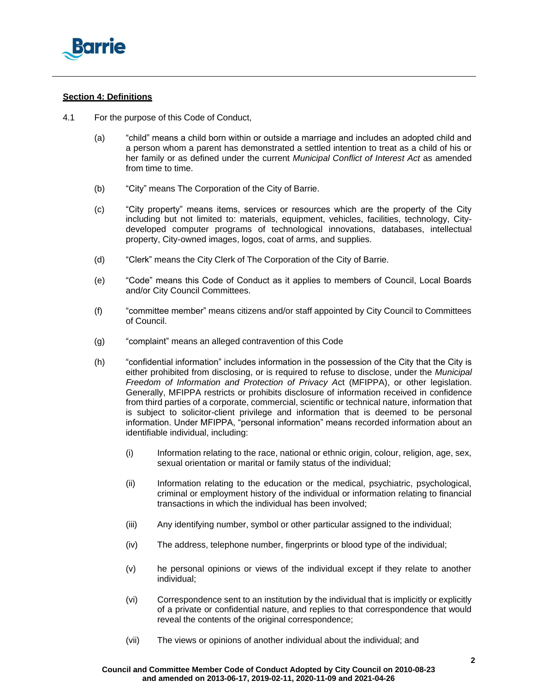

# **Section 4: Definitions**

- 4.1 For the purpose of this Code of Conduct,
	- (a) "child" means a child born within or outside a marriage and includes an adopted child and a person whom a parent has demonstrated a settled intention to treat as a child of his or her family or as defined under the current *Municipal Conflict of Interest Act* as amended from time to time.
	- (b) "City" means The Corporation of the City of Barrie.
	- (c) "City property" means items, services or resources which are the property of the City including but not limited to: materials, equipment, vehicles, facilities, technology, Citydeveloped computer programs of technological innovations, databases, intellectual property, City-owned images, logos, coat of arms, and supplies.
	- (d) "Clerk" means the City Clerk of The Corporation of the City of Barrie.
	- (e) "Code" means this Code of Conduct as it applies to members of Council, Local Boards and/or City Council Committees.
	- (f) "committee member" means citizens and/or staff appointed by City Council to Committees of Council.
	- (g) "complaint" means an alleged contravention of this Code
	- (h) "confidential information" includes information in the possession of the City that the City is either prohibited from disclosing, or is required to refuse to disclose, under the *Municipal Freedom of Information and Protection of Privacy A*ct (MFIPPA), or other legislation. Generally, MFIPPA restricts or prohibits disclosure of information received in confidence from third parties of a corporate, commercial, scientific or technical nature, information that is subject to solicitor-client privilege and information that is deemed to be personal information. Under MFIPPA, "personal information" means recorded information about an identifiable individual, including:
		- (i) Information relating to the race, national or ethnic origin, colour, religion, age, sex, sexual orientation or marital or family status of the individual;
		- (ii) Information relating to the education or the medical, psychiatric, psychological, criminal or employment history of the individual or information relating to financial transactions in which the individual has been involved;
		- (iii) Any identifying number, symbol or other particular assigned to the individual;
		- (iv) The address, telephone number, fingerprints or blood type of the individual;
		- (v) he personal opinions or views of the individual except if they relate to another individual;
		- (vi) Correspondence sent to an institution by the individual that is implicitly or explicitly of a private or confidential nature, and replies to that correspondence that would reveal the contents of the original correspondence;
		- (vii) The views or opinions of another individual about the individual; and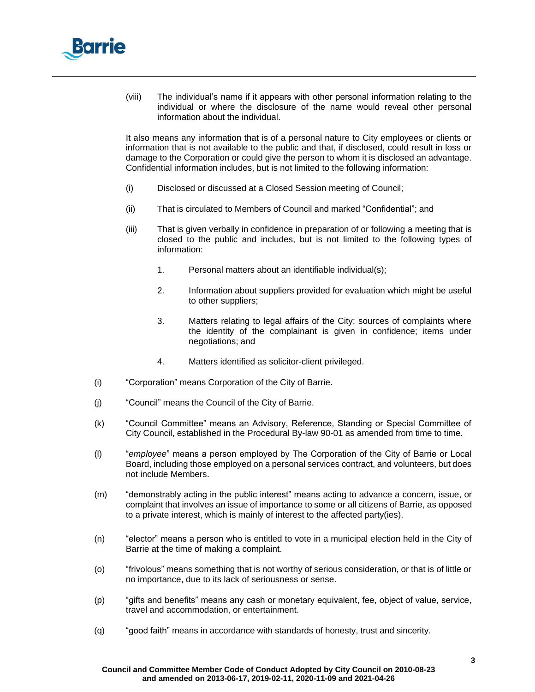

(viii) The individual's name if it appears with other personal information relating to the individual or where the disclosure of the name would reveal other personal information about the individual.

It also means any information that is of a personal nature to City employees or clients or information that is not available to the public and that, if disclosed, could result in loss or damage to the Corporation or could give the person to whom it is disclosed an advantage. Confidential information includes, but is not limited to the following information:

- (i) Disclosed or discussed at a Closed Session meeting of Council;
- (ii) That is circulated to Members of Council and marked "Confidential"; and
- (iii) That is given verbally in confidence in preparation of or following a meeting that is closed to the public and includes, but is not limited to the following types of information:
	- 1. Personal matters about an identifiable individual(s);
	- 2. Information about suppliers provided for evaluation which might be useful to other suppliers;
	- 3. Matters relating to legal affairs of the City; sources of complaints where the identity of the complainant is given in confidence; items under negotiations; and
	- 4. Matters identified as solicitor-client privileged.
- (i) "Corporation" means Corporation of the City of Barrie.
- (j) "Council" means the Council of the City of Barrie.
- (k) "Council Committee" means an Advisory, Reference, Standing or Special Committee of City Council, established in the Procedural By-law 90-01 as amended from time to time.
- (l) "*employee*" means a person employed by The Corporation of the City of Barrie or Local Board, including those employed on a personal services contract, and volunteers, but does not include Members.
- (m) "demonstrably acting in the public interest" means acting to advance a concern, issue, or complaint that involves an issue of importance to some or all citizens of Barrie, as opposed to a private interest, which is mainly of interest to the affected party(ies).
- (n) "elector" means a person who is entitled to vote in a municipal election held in the City of Barrie at the time of making a complaint.
- (o) "frivolous" means something that is not worthy of serious consideration, or that is of little or no importance, due to its lack of seriousness or sense.
- (p) "gifts and benefits" means any cash or monetary equivalent, fee, object of value, service, travel and accommodation, or entertainment.
- (q) "good faith" means in accordance with standards of honesty, trust and sincerity.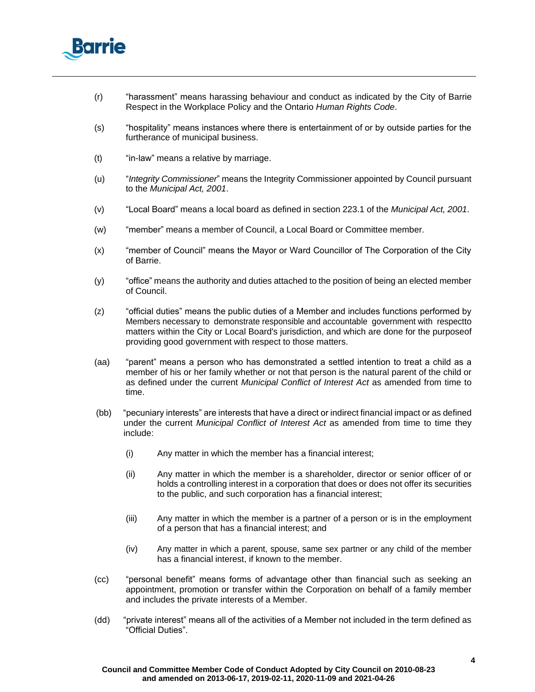

- (r) "harassment" means harassing behaviour and conduct as indicated by the City of Barrie Respect in the Workplace Policy and the Ontario *Human Rights Code*.
- (s) "hospitality" means instances where there is entertainment of or by outside parties for the furtherance of municipal business.
- (t) "in-law" means a relative by marriage.
- (u) "*Integrity Commissioner*" means the Integrity Commissioner appointed by Council pursuant to the *Municipal Act, 2001*.
- (v) "Local Board" means a local board as defined in section 223.1 of the *Municipal Act, 2001*.
- (w) "member" means a member of Council, a Local Board or Committee member.
- (x) "member of Council" means the Mayor or Ward Councillor of The Corporation of the City of Barrie.
- (y) "office" means the authority and duties attached to the position of being an elected member of Council.
- (z) "official duties" means the public duties of a Member and includes functions performed by Members necessary to demonstrate responsible and accountable government with respectto matters within the City or Local Board's jurisdiction, and which are done for the purposeof providing good government with respect to those matters.
- (aa) "parent" means a person who has demonstrated a settled intention to treat a child as a member of his or her family whether or not that person is the natural parent of the child or as defined under the current *Municipal Conflict of Interest Act* as amended from time to time.
- (bb) "pecuniary interests" are interests that have a direct or indirect financial impact or as defined under the current *Municipal Conflict of Interest Act* as amended from time to time they include:
	- (i) Any matter in which the member has a financial interest;
	- (ii) Any matter in which the member is a shareholder, director or senior officer of or holds a controlling interest in a corporation that does or does not offer its securities to the public, and such corporation has a financial interest;
	- (iii) Any matter in which the member is a partner of a person or is in the employment of a person that has a financial interest; and
	- (iv) Any matter in which a parent, spouse, same sex partner or any child of the member has a financial interest, if known to the member.
- (cc) "personal benefit" means forms of advantage other than financial such as seeking an appointment, promotion or transfer within the Corporation on behalf of a family member and includes the private interests of a Member.
- (dd) "private interest" means all of the activities of a Member not included in the term defined as "Official Duties".

#### **Council and Committee Member Code of Conduct Adopted by City Council on 2010-08-23 and amended on 2013-06-17, 2019-02-11, 2020-11-09 and 2021-04-26**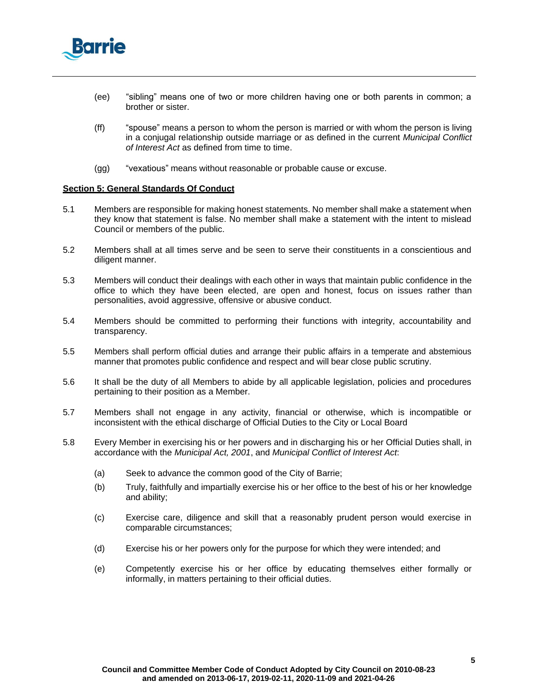

- (ee) "sibling" means one of two or more children having one or both parents in common; a brother or sister.
- (ff) "spouse" means a person to whom the person is married or with whom the person is living in a conjugal relationship outside marriage or as defined in the current *Municipal Conflict of Interest Act* as defined from time to time.
- (gg) "vexatious" means without reasonable or probable cause or excuse.

### **Section 5: General Standards Of Conduct**

- 5.1 Members are responsible for making honest statements. No member shall make a statement when they know that statement is false. No member shall make a statement with the intent to mislead Council or members of the public.
- 5.2 Members shall at all times serve and be seen to serve their constituents in a conscientious and diligent manner.
- 5.3 Members will conduct their dealings with each other in ways that maintain public confidence in the office to which they have been elected, are open and honest, focus on issues rather than personalities, avoid aggressive, offensive or abusive conduct.
- 5.4 Members should be committed to performing their functions with integrity, accountability and transparency.
- 5.5 Members shall perform official duties and arrange their public affairs in a temperate and abstemious manner that promotes public confidence and respect and will bear close public scrutiny.
- 5.6 It shall be the duty of all Members to abide by all applicable legislation, policies and procedures pertaining to their position as a Member.
- 5.7 Members shall not engage in any activity, financial or otherwise, which is incompatible or inconsistent with the ethical discharge of Official Duties to the City or Local Board
- 5.8 Every Member in exercising his or her powers and in discharging his or her Official Duties shall, in accordance with the *Municipal Act, 2001*, and *Municipal Conflict of Interest Act*:
	- (a) Seek to advance the common good of the City of Barrie;
	- (b) Truly, faithfully and impartially exercise his or her office to the best of his or her knowledge and ability;
	- (c) Exercise care, diligence and skill that a reasonably prudent person would exercise in comparable circumstances;
	- (d) Exercise his or her powers only for the purpose for which they were intended; and
	- (e) Competently exercise his or her office by educating themselves either formally or informally, in matters pertaining to their official duties.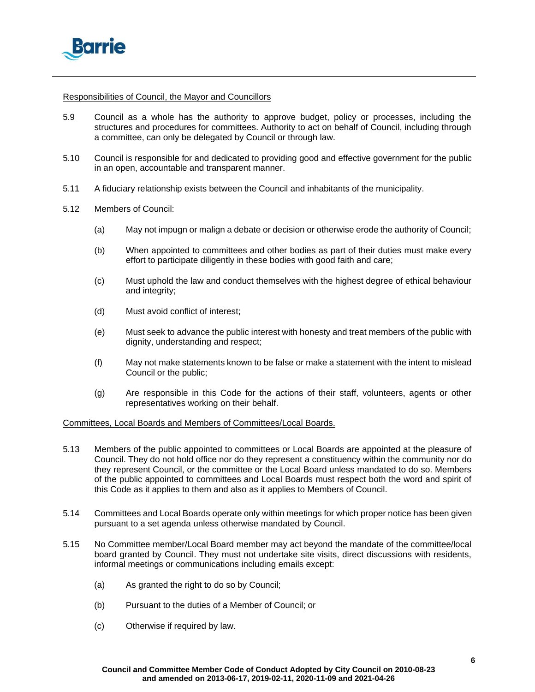

# Responsibilities of Council, the Mayor and Councillors

- 5.9 Council as a whole has the authority to approve budget, policy or processes, including the structures and procedures for committees. Authority to act on behalf of Council, including through a committee, can only be delegated by Council or through law.
- 5.10 Council is responsible for and dedicated to providing good and effective government for the public in an open, accountable and transparent manner.
- 5.11 A fiduciary relationship exists between the Council and inhabitants of the municipality.
- 5.12 Members of Council:
	- (a) May not impugn or malign a debate or decision or otherwise erode the authority of Council;
	- (b) When appointed to committees and other bodies as part of their duties must make every effort to participate diligently in these bodies with good faith and care;
	- (c) Must uphold the law and conduct themselves with the highest degree of ethical behaviour and integrity;
	- (d) Must avoid conflict of interest;
	- (e) Must seek to advance the public interest with honesty and treat members of the public with dignity, understanding and respect;
	- (f) May not make statements known to be false or make a statement with the intent to mislead Council or the public;
	- (g) Are responsible in this Code for the actions of their staff, volunteers, agents or other representatives working on their behalf.

# Committees, Local Boards and Members of Committees/Local Boards.

- 5.13 Members of the public appointed to committees or Local Boards are appointed at the pleasure of Council. They do not hold office nor do they represent a constituency within the community nor do they represent Council, or the committee or the Local Board unless mandated to do so. Members of the public appointed to committees and Local Boards must respect both the word and spirit of this Code as it applies to them and also as it applies to Members of Council.
- 5.14 Committees and Local Boards operate only within meetings for which proper notice has been given pursuant to a set agenda unless otherwise mandated by Council.
- 5.15 No Committee member/Local Board member may act beyond the mandate of the committee/local board granted by Council. They must not undertake site visits, direct discussions with residents, informal meetings or communications including emails except:
	- (a) As granted the right to do so by Council;
	- (b) Pursuant to the duties of a Member of Council; or
	- (c) Otherwise if required by law.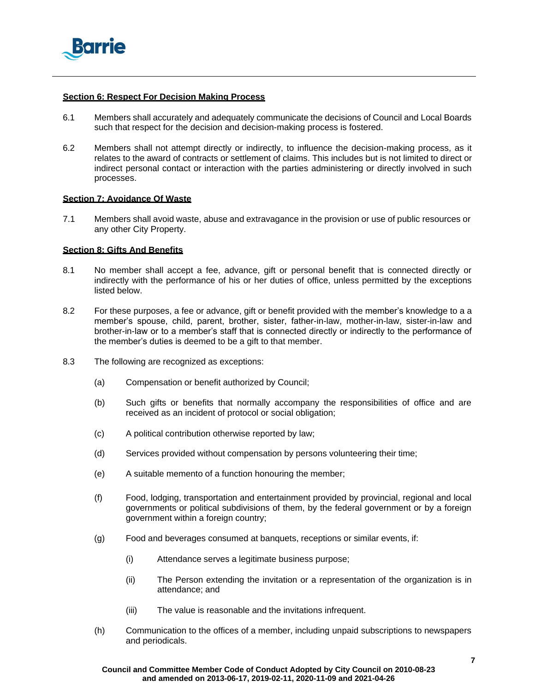

### **Section 6: Respect For Decision Making Process**

- 6.1 Members shall accurately and adequately communicate the decisions of Council and Local Boards such that respect for the decision and decision-making process is fostered.
- 6.2 Members shall not attempt directly or indirectly, to influence the decision-making process, as it relates to the award of contracts or settlement of claims. This includes but is not limited to direct or indirect personal contact or interaction with the parties administering or directly involved in such processes.

### **Section 7: Avoidance Of Waste**

7.1 Members shall avoid waste, abuse and extravagance in the provision or use of public resources or any other City Property.

# **Section 8: Gifts And Benefits**

- 8.1 No member shall accept a fee, advance, gift or personal benefit that is connected directly or indirectly with the performance of his or her duties of office, unless permitted by the exceptions listed below.
- 8.2 For these purposes, a fee or advance, gift or benefit provided with the member's knowledge to a a member's spouse, child, parent, brother, sister, father-in-law, mother-in-law, sister-in-law and brother-in-law or to a member's staff that is connected directly or indirectly to the performance of the member's duties is deemed to be a gift to that member.
- <span id="page-6-3"></span><span id="page-6-2"></span><span id="page-6-1"></span><span id="page-6-0"></span>8.3 The following are recognized as exceptions:
	- (a) Compensation or benefit authorized by Council;
	- (b) Such gifts or benefits that normally accompany the responsibilities of office and are received as an incident of protocol or social obligation;
	- (c) A political contribution otherwise reported by law;
	- (d) Services provided without compensation by persons volunteering their time;
	- (e) A suitable memento of a function honouring the member;
	- (f) Food, lodging, transportation and entertainment provided by provincial, regional and local governments or political subdivisions of them, by the federal government or by a foreign government within a foreign country;
	- (g) Food and beverages consumed at banquets, receptions or similar events, if:
		- (i) Attendance serves a legitimate business purpose;
		- (ii) The Person extending the invitation or a representation of the organization is in attendance; and
		- (iii) The value is reasonable and the invitations infrequent.
	- (h) Communication to the offices of a member, including unpaid subscriptions to newspapers and periodicals.

#### <span id="page-6-5"></span><span id="page-6-4"></span>**Council and Committee Member Code of Conduct Adopted by City Council on 2010-08-23 and amended on 2013-06-17, 2019-02-11, 2020-11-09 and 2021-04-26**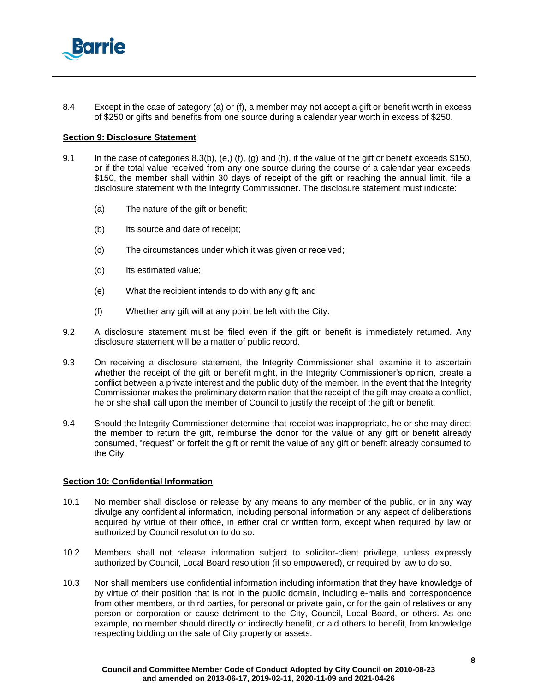

8.4 Except in the case of category [\(a\)](#page-6-0) or [\(f\),](#page-6-1) a member may not accept a gift or benefit worth in excess of \$250 or gifts and benefits from one source during a calendar year worth in excess of \$250.

#### **Section 9: Disclosure Statement**

- 9.1 In the case of categories [8.3\(b\),](#page-6-2) [\(e,\)](#page-6-3) [\(f\),](#page-6-1) [\(g\) a](#page-6-4)nd [\(h\), i](#page-6-5)f the value of the gift or benefit exceeds \$150, or if the total value received from any one source during the course of a calendar year exceeds \$150, the member shall within 30 days of receipt of the gift or reaching the annual limit, file a disclosure statement with the Integrity Commissioner. The disclosure statement must indicate:
	- (a) The nature of the gift or benefit;
	- (b) Its source and date of receipt;
	- (c) The circumstances under which it was given or received;
	- (d) Its estimated value;
	- (e) What the recipient intends to do with any gift; and
	- (f) Whether any gift will at any point be left with the City.
- 9.2 A disclosure statement must be filed even if the gift or benefit is immediately returned. Any disclosure statement will be a matter of public record.
- 9.3 On receiving a disclosure statement, the Integrity Commissioner shall examine it to ascertain whether the receipt of the gift or benefit might, in the Integrity Commissioner's opinion, create a conflict between a private interest and the public duty of the member. In the event that the Integrity Commissioner makes the preliminary determination that the receipt of the gift may create a conflict, he or she shall call upon the member of Council to justify the receipt of the gift or benefit.
- 9.4 Should the Integrity Commissioner determine that receipt was inappropriate, he or she may direct the member to return the gift, reimburse the donor for the value of any gift or benefit already consumed, "request" or forfeit the gift or remit the value of any gift or benefit already consumed to the City.

#### **Section 10: Confidential Information**

- 10.1 No member shall disclose or release by any means to any member of the public, or in any way divulge any confidential information, including personal information or any aspect of deliberations acquired by virtue of their office, in either oral or written form, except when required by law or authorized by Council resolution to do so.
- 10.2 Members shall not release information subject to solicitor-client privilege, unless expressly authorized by Council, Local Board resolution (if so empowered), or required by law to do so.
- 10.3 Nor shall members use confidential information including information that they have knowledge of by virtue of their position that is not in the public domain, including e-mails and correspondence from other members, or third parties, for personal or private gain, or for the gain of relatives or any person or corporation or cause detriment to the City, Council, Local Board, or others. As one example, no member should directly or indirectly benefit, or aid others to benefit, from knowledge respecting bidding on the sale of City property or assets.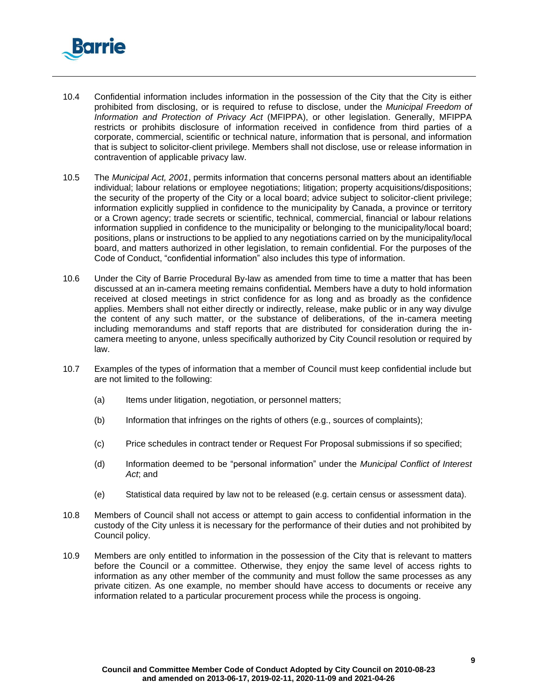

- 10.4 Confidential information includes information in the possession of the City that the City is either prohibited from disclosing, or is required to refuse to disclose, under the *Municipal Freedom of Information and Protection of Privacy Act* (MFIPPA), or other legislation. Generally, MFIPPA restricts or prohibits disclosure of information received in confidence from third parties of a corporate, commercial, scientific or technical nature, information that is personal, and information that is subject to solicitor-client privilege. Members shall not disclose, use or release information in contravention of applicable privacy law.
- 10.5 The *Municipal Act, 2001*, permits information that concerns personal matters about an identifiable individual; labour relations or employee negotiations; litigation; property acquisitions/dispositions; the security of the property of the City or a local board; advice subject to solicitor-client privilege; information explicitly supplied in confidence to the municipality by Canada, a province or territory or a Crown agency; trade secrets or scientific, technical, commercial, financial or labour relations information supplied in confidence to the municipality or belonging to the municipality/local board; positions, plans or instructions to be applied to any negotiations carried on by the municipality/local board, and matters authorized in other legislation, to remain confidential. For the purposes of the Code of Conduct, "confidential information" also includes this type of information.
- 10.6 Under the City of Barrie Procedural By-law as amended from time to time a matter that has been discussed at an in-camera meeting remains confidential*.* Members have a duty to hold information received at closed meetings in strict confidence for as long and as broadly as the confidence applies. Members shall not either directly or indirectly, release, make public or in any way divulge the content of any such matter, or the substance of deliberations, of the in-camera meeting including memorandums and staff reports that are distributed for consideration during the incamera meeting to anyone, unless specifically authorized by City Council resolution or required by law.
- 10.7 Examples of the types of information that a member of Council must keep confidential include but are not limited to the following:
	- (a) Items under litigation, negotiation, or personnel matters;
	- (b) Information that infringes on the rights of others (e.g., sources of complaints);
	- (c) Price schedules in contract tender or Request For Proposal submissions if so specified;
	- (d) Information deemed to be "personal information" under the *Municipal Conflict of Interest Act*; and
	- (e) Statistical data required by law not to be released (e.g. certain census or assessment data).
- 10.8 Members of Council shall not access or attempt to gain access to confidential information in the custody of the City unless it is necessary for the performance of their duties and not prohibited by Council policy.
- 10.9 Members are only entitled to information in the possession of the City that is relevant to matters before the Council or a committee. Otherwise, they enjoy the same level of access rights to information as any other member of the community and must follow the same processes as any private citizen. As one example, no member should have access to documents or receive any information related to a particular procurement process while the process is ongoing.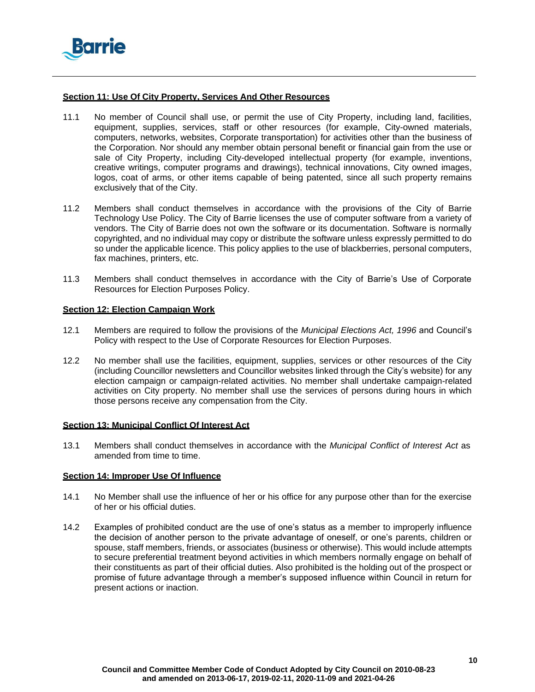

# **Section 11: Use Of City Property, Services And Other Resources**

- 11.1 No member of Council shall use, or permit the use of City Property, including land, facilities, equipment, supplies, services, staff or other resources (for example, City-owned materials, computers, networks, websites, Corporate transportation) for activities other than the business of the Corporation. Nor should any member obtain personal benefit or financial gain from the use or sale of City Property, including City-developed intellectual property (for example, inventions, creative writings, computer programs and drawings), technical innovations, City owned images, logos, coat of arms, or other items capable of being patented, since all such property remains exclusively that of the City.
- 11.2 Members shall conduct themselves in accordance with the provisions of the City of Barrie Technology Use Policy. The City of Barrie licenses the use of computer software from a variety of vendors. The City of Barrie does not own the software or its documentation. Software is normally copyrighted, and no individual may copy or distribute the software unless expressly permitted to do so under the applicable licence. This policy applies to the use of blackberries, personal computers, fax machines, printers, etc.
- 11.3 Members shall conduct themselves in accordance with the City of Barrie's Use of Corporate Resources for Election Purposes Policy.

# **Section 12: Election Campaign Work**

- 12.1 Members are required to follow the provisions of the *Municipal Elections Act, 1996* and Council's Policy with respect to the Use of Corporate Resources for Election Purposes.
- 12.2 No member shall use the facilities, equipment, supplies, services or other resources of the City (including Councillor newsletters and Councillor websites linked through the City's website) for any election campaign or campaign-related activities. No member shall undertake campaign-related activities on City property. No member shall use the services of persons during hours in which those persons receive any compensation from the City.

# **Section 13: Municipal Conflict Of Interest Act**

13.1 Members shall conduct themselves in accordance with the *Municipal Conflict of Interest Act* as amended from time to time.

# **Section 14: Improper Use Of Influence**

- 14.1 No Member shall use the influence of her or his office for any purpose other than for the exercise of her or his official duties.
- 14.2 Examples of prohibited conduct are the use of one's status as a member to improperly influence the decision of another person to the private advantage of oneself, or one's parents, children or spouse, staff members, friends, or associates (business or otherwise). This would include attempts to secure preferential treatment beyond activities in which members normally engage on behalf of their constituents as part of their official duties. Also prohibited is the holding out of the prospect or promise of future advantage through a member's supposed influence within Council in return for present actions or inaction.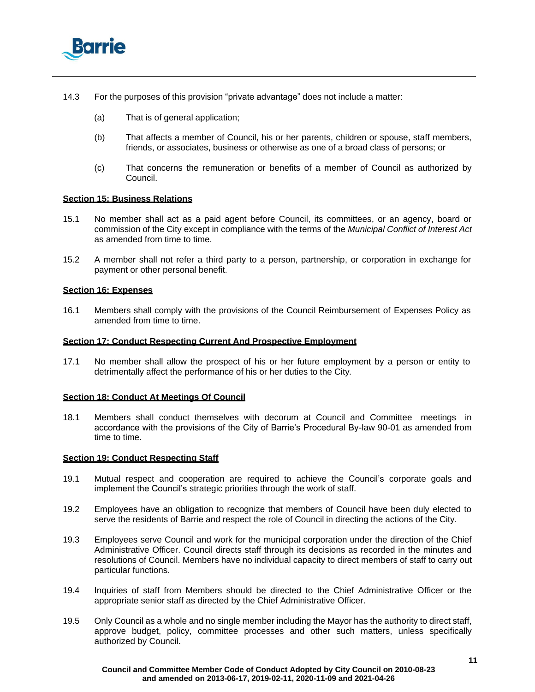

- 14.3 For the purposes of this provision "private advantage" does not include a matter:
	- (a) That is of general application;
	- (b) That affects a member of Council, his or her parents, children or spouse, staff members, friends, or associates, business or otherwise as one of a broad class of persons; or
	- (c) That concerns the remuneration or benefits of a member of Council as authorized by Council.

#### **Section 15: Business Relations**

- 15.1 No member shall act as a paid agent before Council, its committees, or an agency, board or commission of the City except in compliance with the terms of the *Municipal Conflict of Interest Act* as amended from time to time.
- 15.2 A member shall not refer a third party to a person, partnership, or corporation in exchange for payment or other personal benefit.

### **Section 16: Expenses**

16.1 Members shall comply with the provisions of the Council Reimbursement of Expenses Policy as amended from time to time.

## **Section 17: Conduct Respecting Current And Prospective Employment**

17.1 No member shall allow the prospect of his or her future employment by a person or entity to detrimentally affect the performance of his or her duties to the City*.*

#### **Section 18: Conduct At Meetings Of Council**

18.1 Members shall conduct themselves with decorum at Council and Committee meetings in accordance with the provisions of the City of Barrie's Procedural By-law 90-01 as amended from time to time.

#### **Section 19: Conduct Respecting Staff**

- 19.1 Mutual respect and cooperation are required to achieve the Council's corporate goals and implement the Council's strategic priorities through the work of staff.
- 19.2 Employees have an obligation to recognize that members of Council have been duly elected to serve the residents of Barrie and respect the role of Council in directing the actions of the City.
- 19.3 Employees serve Council and work for the municipal corporation under the direction of the Chief Administrative Officer. Council directs staff through its decisions as recorded in the minutes and resolutions of Council. Members have no individual capacity to direct members of staff to carry out particular functions.
- 19.4 Inquiries of staff from Members should be directed to the Chief Administrative Officer or the appropriate senior staff as directed by the Chief Administrative Officer.
- 19.5 Only Council as a whole and no single member including the Mayor has the authority to direct staff, approve budget, policy, committee processes and other such matters, unless specifically authorized by Council.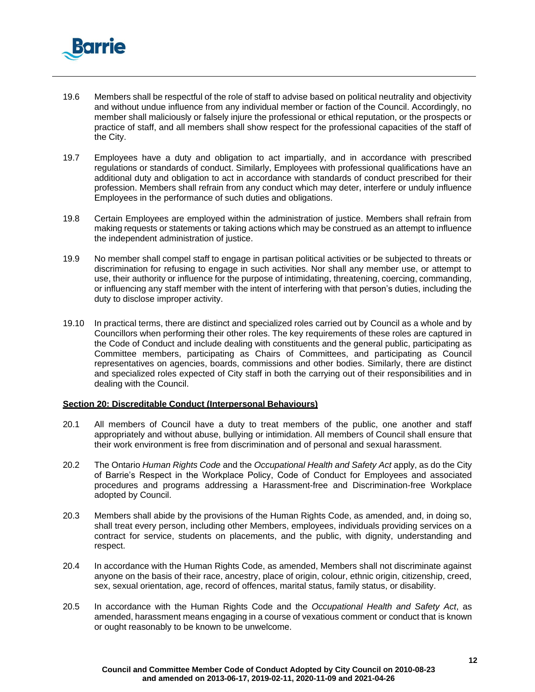

- 19.6 Members shall be respectful of the role of staff to advise based on political neutrality and objectivity and without undue influence from any individual member or faction of the Council. Accordingly, no member shall maliciously or falsely injure the professional or ethical reputation, or the prospects or practice of staff, and all members shall show respect for the professional capacities of the staff of the City.
- 19.7 Employees have a duty and obligation to act impartially, and in accordance with prescribed regulations or standards of conduct. Similarly, Employees with professional qualifications have an additional duty and obligation to act in accordance with standards of conduct prescribed for their profession. Members shall refrain from any conduct which may deter, interfere or unduly influence Employees in the performance of such duties and obligations.
- 19.8 Certain Employees are employed within the administration of justice. Members shall refrain from making requests or statements or taking actions which may be construed as an attempt to influence the independent administration of justice.
- 19.9 No member shall compel staff to engage in partisan political activities or be subjected to threats or discrimination for refusing to engage in such activities. Nor shall any member use, or attempt to use, their authority or influence for the purpose of intimidating, threatening, coercing, commanding, or influencing any staff member with the intent of interfering with that person's duties, including the duty to disclose improper activity.
- 19.10 In practical terms, there are distinct and specialized roles carried out by Council as a whole and by Councillors when performing their other roles. The key requirements of these roles are captured in the Code of Conduct and include dealing with constituents and the general public, participating as Committee members, participating as Chairs of Committees, and participating as Council representatives on agencies, boards, commissions and other bodies. Similarly, there are distinct and specialized roles expected of City staff in both the carrying out of their responsibilities and in dealing with the Council.

#### **Section 20: Discreditable Conduct (Interpersonal Behaviours)**

- 20.1 All members of Council have a duty to treat members of the public, one another and staff appropriately and without abuse, bullying or intimidation. All members of Council shall ensure that their work environment is free from discrimination and of personal and sexual harassment.
- 20.2 The Ontario *Human Rights Code* and the *Occupational Health and Safety Act* apply, as do the City of Barrie's Respect in the Workplace Policy, Code of Conduct for Employees and associated procedures and programs addressing a Harassment-free and Discrimination-free Workplace adopted by Council.
- 20.3 Members shall abide by the provisions of the Human Rights Code, as amended, and, in doing so, shall treat every person, including other Members, employees, individuals providing services on a contract for service, students on placements, and the public, with dignity, understanding and respect.
- 20.4 In accordance with the Human Rights Code, as amended, Members shall not discriminate against anyone on the basis of their race, ancestry, place of origin, colour, ethnic origin, citizenship, creed, sex, sexual orientation, age, record of offences, marital status, family status, or disability.
- 20.5 In accordance with the Human Rights Code and the *Occupational Health and Safety Act*, as amended, harassment means engaging in a course of vexatious comment or conduct that is known or ought reasonably to be known to be unwelcome.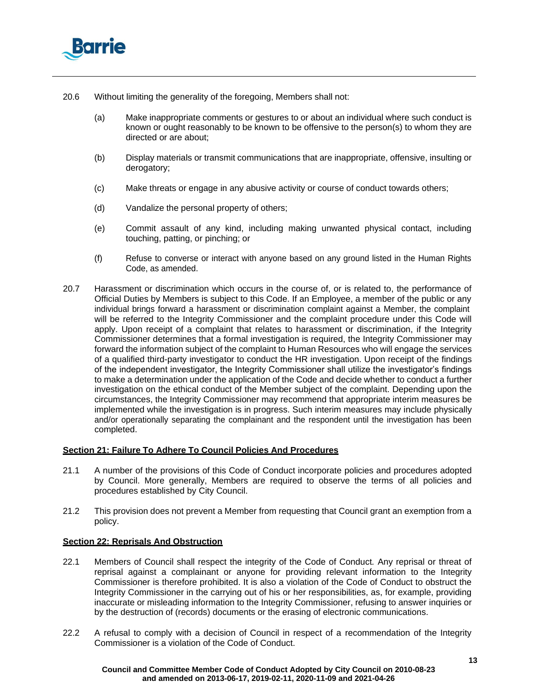

- 20.6 Without limiting the generality of the foregoing, Members shall not:
	- (a) Make inappropriate comments or gestures to or about an individual where such conduct is known or ought reasonably to be known to be offensive to the person(s) to whom they are directed or are about;
	- (b) Display materials or transmit communications that are inappropriate, offensive, insulting or derogatory;
	- (c) Make threats or engage in any abusive activity or course of conduct towards others;
	- (d) Vandalize the personal property of others;
	- (e) Commit assault of any kind, including making unwanted physical contact, including touching, patting, or pinching; or
	- (f) Refuse to converse or interact with anyone based on any ground listed in the Human Rights Code, as amended.
- 20.7 Harassment or discrimination which occurs in the course of, or is related to, the performance of Official Duties by Members is subject to this Code. If an Employee, a member of the public or any individual brings forward a harassment or discrimination complaint against a Member, the complaint will be referred to the Integrity Commissioner and the complaint procedure under this Code will apply. Upon receipt of a complaint that relates to harassment or discrimination, if the Integrity Commissioner determines that a formal investigation is required, the Integrity Commissioner may forward the information subject of the complaint to Human Resources who will engage the services of a qualified third-party investigator to conduct the HR investigation. Upon receipt of the findings of the independent investigator, the Integrity Commissioner shall utilize the investigator's findings to make a determination under the application of the Code and decide whether to conduct a further investigation on the ethical conduct of the Member subject of the complaint. Depending upon the circumstances, the Integrity Commissioner may recommend that appropriate interim measures be implemented while the investigation is in progress. Such interim measures may include physically and/or operationally separating the complainant and the respondent until the investigation has been completed.

# **Section 21: Failure To Adhere To Council Policies And Procedures**

- 21.1 A number of the provisions of this Code of Conduct incorporate policies and procedures adopted by Council. More generally, Members are required to observe the terms of all policies and procedures established by City Council.
- 21.2 This provision does not prevent a Member from requesting that Council grant an exemption from a policy.

# **Section 22: Reprisals And Obstruction**

- 22.1 Members of Council shall respect the integrity of the Code of Conduct*.* Any reprisal or threat of reprisal against a complainant or anyone for providing relevant information to the Integrity Commissioner is therefore prohibited. It is also a violation of the Code of Conduct to obstruct the Integrity Commissioner in the carrying out of his or her responsibilities, as, for example, providing inaccurate or misleading information to the Integrity Commissioner, refusing to answer inquiries or by the destruction of (records) documents or the erasing of electronic communications.
- 22.2 A refusal to comply with a decision of Council in respect of a recommendation of the Integrity Commissioner is a violation of the Code of Conduct.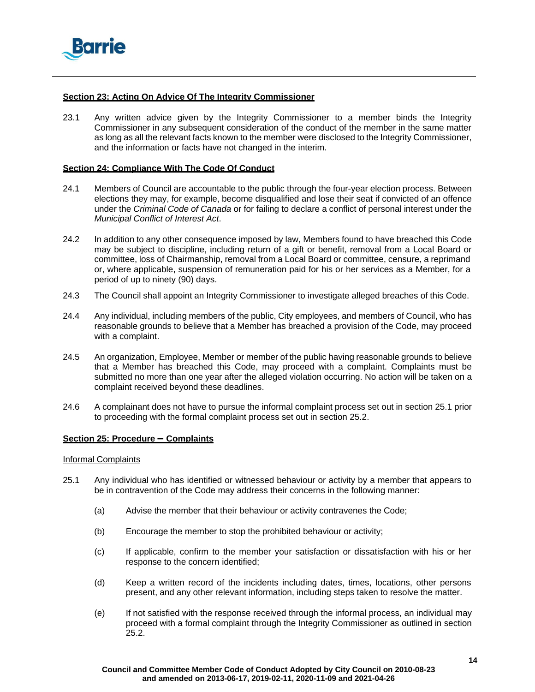

### **Section 23: Acting On Advice Of The Integrity Commissioner**

23.1 Any written advice given by the Integrity Commissioner to a member binds the Integrity Commissioner in any subsequent consideration of the conduct of the member in the same matter as long as all the relevant facts known to the member were disclosed to the Integrity Commissioner, and the information or facts have not changed in the interim.

### **Section 24: Compliance With The Code Of Conduct**

- 24.1 Members of Council are accountable to the public through the four-year election process. Between elections they may, for example, become disqualified and lose their seat if convicted of an offence under the *Criminal Code of Canada* or for failing to declare a conflict of personal interest under the *Municipal Conflict of Interest Act*.
- 24.2 In addition to any other consequence imposed by law, Members found to have breached this Code may be subject to discipline, including return of a gift or benefit, removal from a Local Board or committee, loss of Chairmanship, removal from a Local Board or committee, censure, a reprimand or, where applicable, suspension of remuneration paid for his or her services as a Member, for a period of up to ninety (90) days.
- 24.3 The Council shall appoint an Integrity Commissioner to investigate alleged breaches of this Code.
- 24.4 Any individual, including members of the public, City employees, and members of Council, who has reasonable grounds to believe that a Member has breached a provision of the Code, may proceed with a complaint.
- 24.5 An organization, Employee, Member or member of the public having reasonable grounds to believe that a Member has breached this Code, may proceed with a complaint. Complaints must be submitted no more than one year after the alleged violation occurring. No action will be taken on a complaint received beyond these deadlines.
- 24.6 A complainant does not have to pursue the informal complaint process set out in section 25.1 prior to proceeding with the formal complaint process set out in section 25.2.

#### **Section 25: Procedure – Complaints**

#### Informal Complaints

- <span id="page-13-0"></span>25.1 Any individual who has identified or witnessed behaviour or activity by a member that appears to be in contravention of the Code may address their concerns in the following manner:
	- (a) Advise the member that their behaviour or activity contravenes the Code;
	- (b) Encourage the member to stop the prohibited behaviour or activity;
	- (c) If applicable, confirm to the member your satisfaction or dissatisfaction with his or her response to the concern identified;
	- (d) Keep a written record of the incidents including dates, times, locations, other persons present, and any other relevant information, including steps taken to resolve the matter.
	- (e) If not satisfied with the response received through the informal process, an individual may proceed with a formal complaint through the Integrity Commissioner as outlined in section [25.2.](#page-14-0)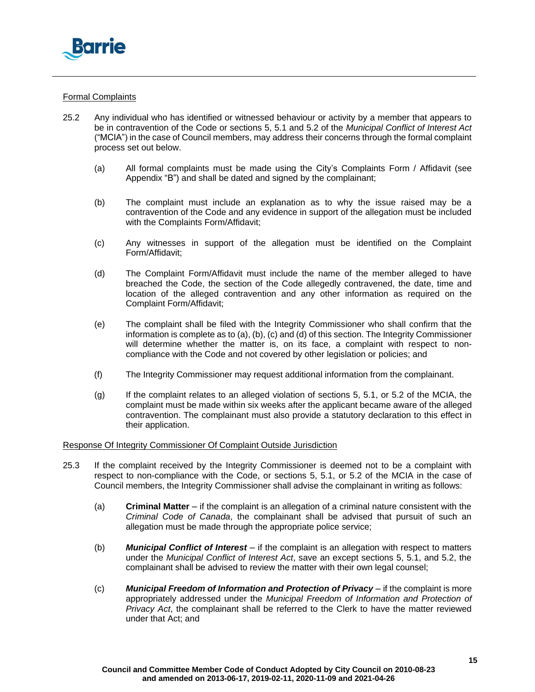

# Formal Complaints

- <span id="page-14-4"></span><span id="page-14-3"></span><span id="page-14-2"></span><span id="page-14-1"></span><span id="page-14-0"></span>25.2 Any individual who has identified or witnessed behaviour or activity by a member that appears to be in contravention of the Code or sections 5, 5.1 and 5.2 of the *Municipal Conflict of Interest Act* ("MCIA") in the case of Council members, may address their concerns through the formal complaint process set out below.
	- (a) All formal complaints must be made using the City's Complaints Form / Affidavit (see [Appendix](#page-22-0) "B") and shall be dated and signed by the complainant;
	- (b) The complaint must include an explanation as to why the issue raised may be a contravention of the Code and any evidence in support of the allegation must be included with the Complaints Form/Affidavit;
	- (c) Any witnesses in support of the allegation must be identified on the Complaint Form/Affidavit;
	- (d) The Complaint Form/Affidavit must include the name of the member alleged to have breached the Code, the section of the Code allegedly contravened, the date, time and location of the alleged contravention and any other information as required on the Complaint Form/Affidavit;
	- (e) The complaint shall be filed with the Integrity Commissioner who shall confirm that the information is complete as to [\(a\),](#page-14-1) [\(b\),](#page-14-2) [\(c\)](#page-14-3) and [\(d\)](#page-14-4) of this section. The Integrity Commissioner will determine whether the matter is, on its face, a complaint with respect to noncompliance with the Code and not covered by other legislation or policies; and
	- (f) The Integrity Commissioner may request additional information from the complainant.
	- (g) If the complaint relates to an alleged violation of sections 5, 5.1, or 5.2 of the MCIA, the complaint must be made within six weeks after the applicant became aware of the alleged contravention. The complainant must also provide a statutory declaration to this effect in their application.

# Response Of Integrity Commissioner Of Complaint Outside Jurisdiction

- 25.3 If the complaint received by the Integrity Commissioner is deemed not to be a complaint with respect to non-compliance with the Code, or sections 5, 5.1, or 5.2 of the MCIA in the case of Council members, the Integrity Commissioner shall advise the complainant in writing as follows:
	- (a) **Criminal Matter**  if the complaint is an allegation of a criminal nature consistent with the *Criminal Code of Canada*, the complainant shall be advised that pursuit of such an allegation must be made through the appropriate police service;
	- (b) *Municipal Conflict of Interest*  if the complaint is an allegation with respect to matters under the *Municipal Conflict of Interest Act*, save an except sections 5, 5.1, and 5.2, the complainant shall be advised to review the matter with their own legal counsel;
	- (c) *Municipal Freedom of Information and Protection of Privacy* if the complaint is more appropriately addressed under the *Municipal Freedom of Information and Protection of Privacy Act*, the complainant shall be referred to the Clerk to have the matter reviewed under that Act; and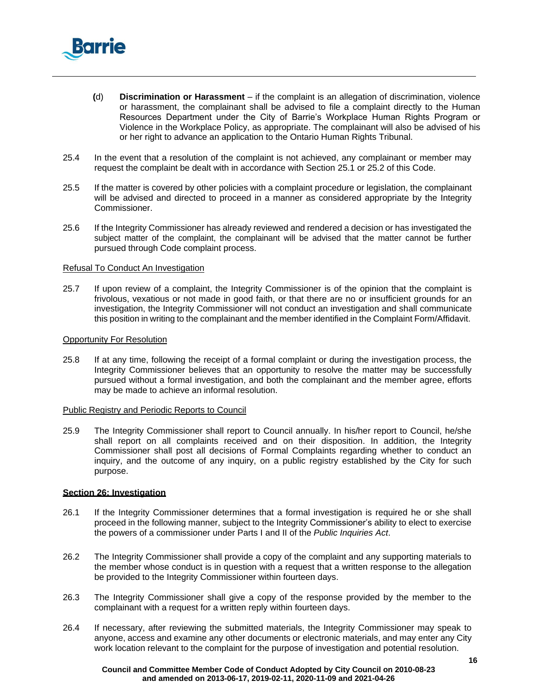

- **(**d) **Discrimination or Harassment** if the complaint is an allegation of discrimination, violence or harassment, the complainant shall be advised to file a complaint directly to the Human Resources Department under the City of Barrie's Workplace Human Rights Program or Violence in the Workplace Policy, as appropriate. The complainant will also be advised of his or her right to advance an application to the Ontario Human Rights Tribunal.
- 25.4 In the event that a resolution of the complaint is not achieved, any complainant or member may request the complaint be dealt with in accordance with Section [25.1 o](#page-13-0)r [25.2 o](#page-14-0)f this Code.
- 25.5 If the matter is covered by other policies with a complaint procedure or legislation, the complainant will be advised and directed to proceed in a manner as considered appropriate by the Integrity Commissioner.
- 25.6 If the Integrity Commissioner has already reviewed and rendered a decision or has investigated the subject matter of the complaint, the complainant will be advised that the matter cannot be further pursued through Code complaint process.

### Refusal To Conduct An Investigation

25.7 If upon review of a complaint, the Integrity Commissioner is of the opinion that the complaint is frivolous, vexatious or not made in good faith, or that there are no or insufficient grounds for an investigation, the Integrity Commissioner will not conduct an investigation and shall communicate this position in writing to the complainant and the member identified in the Complaint Form/Affidavit.

### Opportunity For Resolution

25.8 If at any time, following the receipt of a formal complaint or during the investigation process, the Integrity Commissioner believes that an opportunity to resolve the matter may be successfully pursued without a formal investigation, and both the complainant and the member agree, efforts may be made to achieve an informal resolution.

#### Public Registry and Periodic Reports to Council

25.9 The Integrity Commissioner shall report to Council annually. In his/her report to Council, he/she shall report on all complaints received and on their disposition. In addition, the Integrity Commissioner shall post all decisions of Formal Complaints regarding whether to conduct an inquiry, and the outcome of any inquiry, on a public registry established by the City for such purpose.

# **Section 26: Investigation**

- 26.1 If the Integrity Commissioner determines that a formal investigation is required he or she shall proceed in the following manner, subject to the Integrity Commissioner's ability to elect to exercise the powers of a commissioner under Parts I and II of the *Public Inquiries Act*.
- 26.2 The Integrity Commissioner shall provide a copy of the complaint and any supporting materials to the member whose conduct is in question with a request that a written response to the allegation be provided to the Integrity Commissioner within fourteen days.
- 26.3 The Integrity Commissioner shall give a copy of the response provided by the member to the complainant with a request for a written reply within fourteen days.
- 26.4 If necessary, after reviewing the submitted materials, the Integrity Commissioner may speak to anyone, access and examine any other documents or electronic materials, and may enter any City work location relevant to the complaint for the purpose of investigation and potential resolution.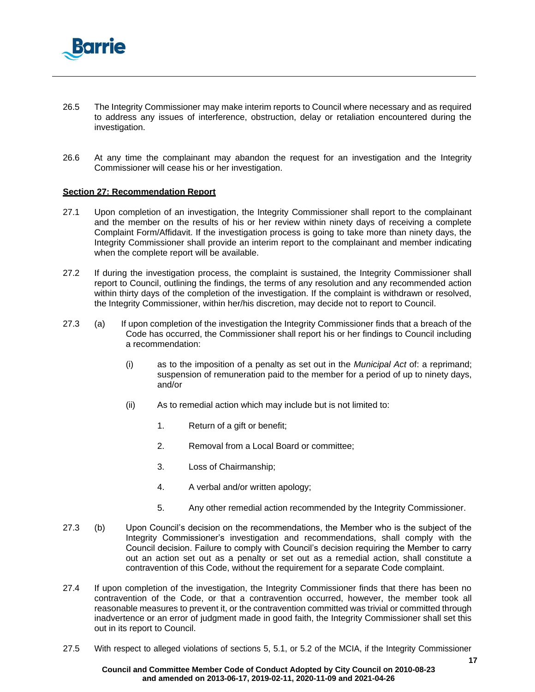

- 26.5 The Integrity Commissioner may make interim reports to Council where necessary and as required to address any issues of interference, obstruction, delay or retaliation encountered during the investigation.
- 26.6 At any time the complainant may abandon the request for an investigation and the Integrity Commissioner will cease his or her investigation.

### **Section 27: Recommendation Report**

- 27.1 Upon completion of an investigation, the Integrity Commissioner shall report to the complainant and the member on the results of his or her review within ninety days of receiving a complete Complaint Form/Affidavit. If the investigation process is going to take more than ninety days, the Integrity Commissioner shall provide an interim report to the complainant and member indicating when the complete report will be available.
- 27.2 If during the investigation process, the complaint is sustained, the Integrity Commissioner shall report to Council, outlining the findings, the terms of any resolution and any recommended action within thirty days of the completion of the investigation. If the complaint is withdrawn or resolved, the Integrity Commissioner, within her/his discretion, may decide not to report to Council.
- <span id="page-16-0"></span>27.3 (a) If upon completion of the investigation the Integrity Commissioner finds that a breach of the Code has occurred, the Commissioner shall report his or her findings to Council including a recommendation:
	- (i) as to the imposition of a penalty as set out in the *Municipal Act* of: a reprimand; suspension of remuneration paid to the member for a period of up to ninety days, and/or
	- (ii) As to remedial action which may include but is not limited to:
		- 1. Return of a gift or benefit;
		- 2. Removal from a Local Board or committee;
		- 3. Loss of Chairmanship;
		- 4. A verbal and/or written apology;
		- 5. Any other remedial action recommended by the Integrity Commissioner.
- 27.3 (b) Upon Council's decision on the recommendations, the Member who is the subject of the Integrity Commissioner's investigation and recommendations, shall comply with the Council decision. Failure to comply with Council's decision requiring the Member to carry out an action set out as a penalty or set out as a remedial action, shall constitute a contravention of this Code, without the requirement for a separate Code complaint.
- 27.4 If upon completion of the investigation, the Integrity Commissioner finds that there has been no contravention of the Code, or that a contravention occurred, however, the member took all reasonable measures to prevent it, or the contravention committed was trivial or committed through inadvertence or an error of judgment made in good faith, the Integrity Commissioner shall set this out in its report to Council.
- 27.5 With respect to alleged violations of sections 5, 5.1, or 5.2 of the MCIA, if the Integrity Commissioner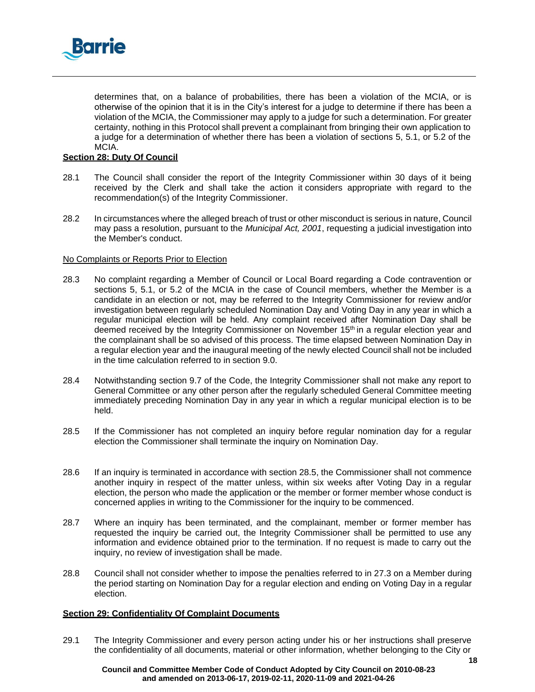

determines that, on a balance of probabilities, there has been a violation of the MCIA, or is otherwise of the opinion that it is in the City's interest for a judge to determine if there has been a violation of the MCIA, the Commissioner may apply to a judge for such a determination. For greater certainty, nothing in this Protocol shall prevent a complainant from bringing their own application to a judge for a determination of whether there has been a violation of sections 5, 5.1, or 5.2 of the MCIA.

# **Section 28: Duty Of Council**

- 28.1 The Council shall consider the report of the Integrity Commissioner within 30 days of it being received by the Clerk and shall take the action it considers appropriate with regard to the recommendation(s) of the Integrity Commissioner.
- 28.2 In circumstances where the alleged breach of trust or other misconduct is serious in nature, Council may pass a resolution, pursuant to the *Municipal Act, 2001*, requesting a judicial investigation into the Member's conduct.

# No Complaints or Reports Prior to Election

- 28.3 No complaint regarding a Member of Council or Local Board regarding a Code contravention or sections 5, 5.1, or 5.2 of the MCIA in the case of Council members, whether the Member is a candidate in an election or not, may be referred to the Integrity Commissioner for review and/or investigation between regularly scheduled Nomination Day and Voting Day in any year in which a regular municipal election will be held. Any complaint received after Nomination Day shall be deemed received by the Integrity Commissioner on November 15<sup>th</sup> in a regular election year and the complainant shall be so advised of this process. The time elapsed between Nomination Day in a regular election year and the inaugural meeting of the newly elected Council shall not be included in the time calculation referred to in section 9.0.
- 28.4 Notwithstanding section 9.7 of the Code, the Integrity Commissioner shall not make any report to General Committee or any other person after the regularly scheduled General Committee meeting immediately preceding Nomination Day in any year in which a regular municipal election is to be held.
- <span id="page-17-0"></span>28.5 If the Commissioner has not completed an inquiry before regular nomination day for a regular election the Commissioner shall terminate the inquiry on Nomination Day.
- 28.6 If an inquiry is terminated in accordance with section [28.5, t](#page-17-0)he Commissioner shall not commence another inquiry in respect of the matter unless, within six weeks after Voting Day in a regular election, the person who made the application or the member or former member whose conduct is concerned applies in writing to the Commissioner for the inquiry to be commenced.
- 28.7 Where an inquiry has been terminated, and the complainant, member or former member has requested the inquiry be carried out, the Integrity Commissioner shall be permitted to use any information and evidence obtained prior to the termination. If no request is made to carry out the inquiry, no review of investigation shall be made.
- 28.8 Council shall not consider whether to impose the penalties referred to in [27.3 o](#page-16-0)n a Member during the period starting on Nomination Day for a regular election and ending on Voting Day in a regular election.

# **Section 29: Confidentiality Of Complaint Documents**

29.1 The Integrity Commissioner and every person acting under his or her instructions shall preserve the confidentiality of all documents, material or other information, whether belonging to the City or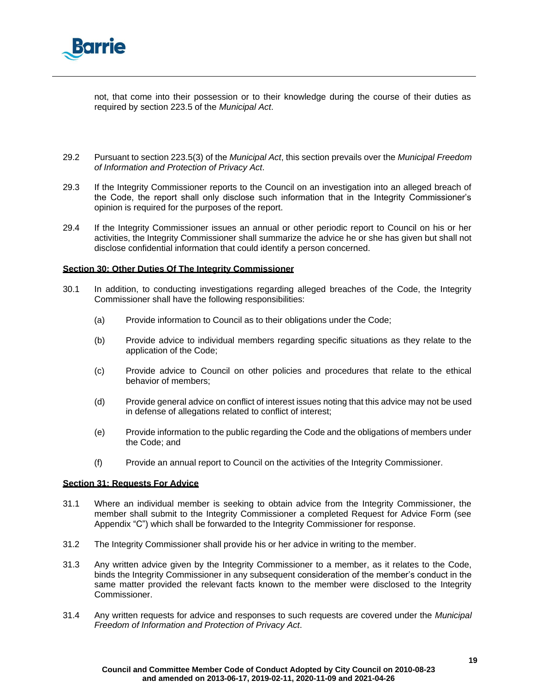

not, that come into their possession or to their knowledge during the course of their duties as required by section 223.5 of the *Municipal Act*.

- 29.2 Pursuant to section 223.5(3) of the *Municipal Act*, this section prevails over the *Municipal Freedom of Information and Protection of Privacy Act*.
- 29.3 If the Integrity Commissioner reports to the Council on an investigation into an alleged breach of the Code, the report shall only disclose such information that in the Integrity Commissioner's opinion is required for the purposes of the report.
- 29.4 If the Integrity Commissioner issues an annual or other periodic report to Council on his or her activities, the Integrity Commissioner shall summarize the advice he or she has given but shall not disclose confidential information that could identify a person concerned.

### **Section 30: Other Duties Of The Integrity Commissioner**

- 30.1 In addition, to conducting investigations regarding alleged breaches of the Code, the Integrity Commissioner shall have the following responsibilities:
	- (a) Provide information to Council as to their obligations under the Code;
	- (b) Provide advice to individual members regarding specific situations as they relate to the application of the Code;
	- (c) Provide advice to Council on other policies and procedures that relate to the ethical behavior of members;
	- (d) Provide general advice on conflict of interest issues noting that this advice may not be used in defense of allegations related to conflict of interest;
	- (e) Provide information to the public regarding the Code and the obligations of members under the Code; and
	- (f) Provide an annual report to Council on the activities of the Integrity Commissioner.

### **Section 31: Requests For Advice**

- 31.1 Where an individual member is seeking to obtain advice from the Integrity Commissioner, the member shall submit to the Integrity Commissioner a completed Request for Advice Form (see [Appendix](#page-24-0) "C") which shall be forwarded to the Integrity Commissioner for response.
- 31.2 The Integrity Commissioner shall provide his or her advice in writing to the member.
- 31.3 Any written advice given by the Integrity Commissioner to a member, as it relates to the Code, binds the Integrity Commissioner in any subsequent consideration of the member's conduct in the same matter provided the relevant facts known to the member were disclosed to the Integrity Commissioner.
- 31.4 Any written requests for advice and responses to such requests are covered under the *Municipal Freedom of Information and Protection of Privacy Act*.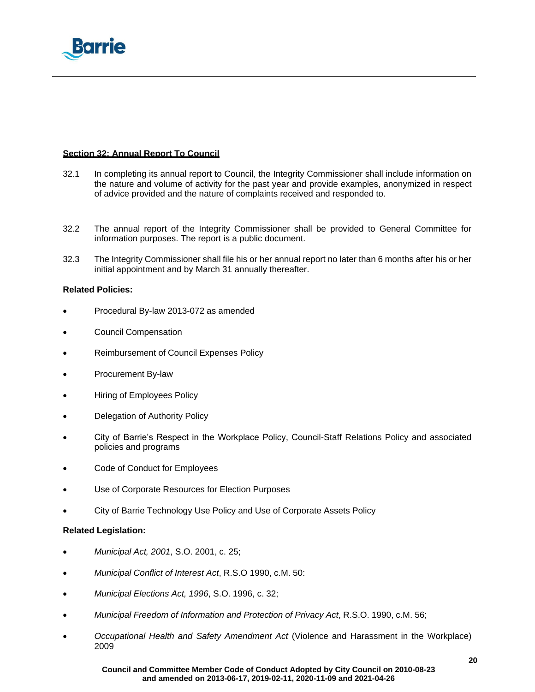

# **Section 32: Annual Report To Council**

- 32.1 In completing its annual report to Council, the Integrity Commissioner shall include information on the nature and volume of activity for the past year and provide examples, anonymized in respect of advice provided and the nature of complaints received and responded to.
- 32.2 The annual report of the Integrity Commissioner shall be provided to General Committee for information purposes. The report is a public document.
- 32.3 The Integrity Commissioner shall file his or her annual report no later than 6 months after his or her initial appointment and by March 31 annually thereafter.

# **Related Policies:**

- Procedural By-law 2013-072 as amended
- Council Compensation
- Reimbursement of Council Expenses Policy
- Procurement By-law
- Hiring of Employees Policy
- Delegation of Authority Policy
- City of Barrie's Respect in the Workplace Policy, Council-Staff Relations Policy and associated policies and programs
- Code of Conduct for Employees
- Use of Corporate Resources for Election Purposes
- City of Barrie Technology Use Policy and Use of Corporate Assets Policy

# **Related Legislation:**

- *Municipal Act, 2001*, S.O. 2001, c. 25;
- *Municipal Conflict of Interest Act*, R.S.O 1990, c.M. 50:
- *Municipal Elections Act, 1996*, S.O. 1996, c. 32;
- *Municipal Freedom of Information and Protection of Privacy Act*, R.S.O. 1990, c.M. 56;
- *Occupational Health and Safety Amendment Act* (Violence and Harassment in the Workplace) 2009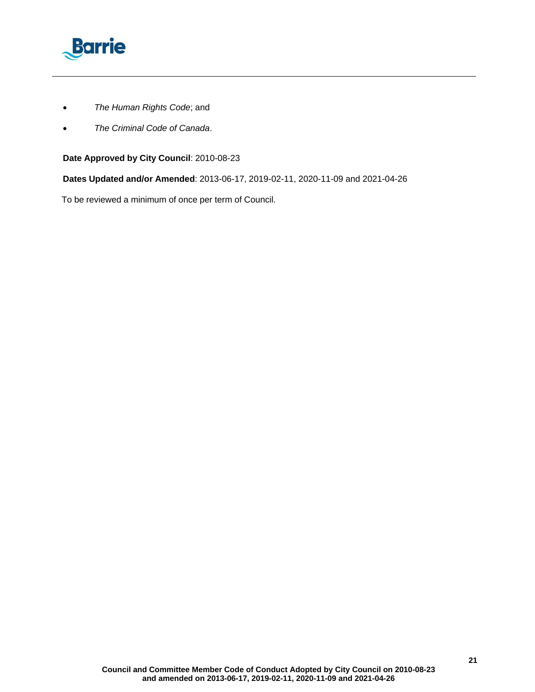

- *The Human Rights Code*; and
- *The Criminal Code of Canada*.

# **Date Approved by City Council**: 2010-08-23

**Dates Updated and/or Amended**: 2013-06-17, 2019-02-11, 2020-11-09 and 2021-04-26

To be reviewed a minimum of once per term of Council.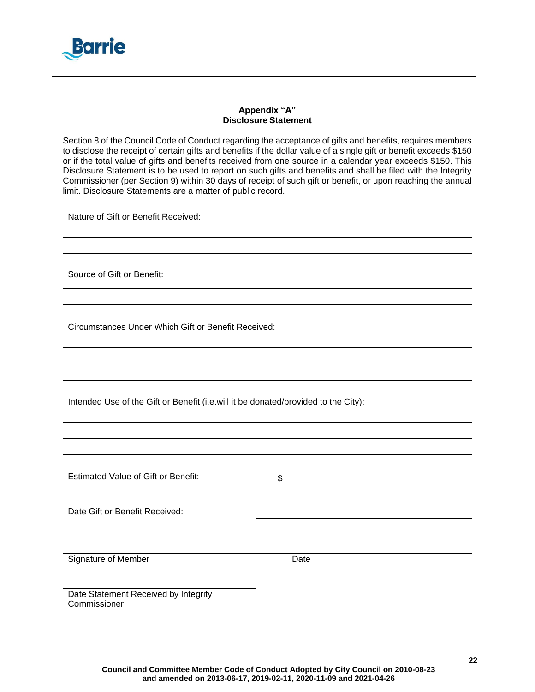

# **Appendix "A" Disclosure Statement**

Section 8 of the Council Code of Conduct regarding the acceptance of gifts and benefits, requires members to disclose the receipt of certain gifts and benefits if the dollar value of a single gift or benefit exceeds \$150 or if the total value of gifts and benefits received from one source in a calendar year exceeds \$150. This Disclosure Statement is to be used to report on such gifts and benefits and shall be filed with the Integrity Commissioner (per Section 9) within 30 days of receipt of such gift or benefit, or upon reaching the annual limit. Disclosure Statements are a matter of public record.

Nature of Gift or Benefit Received:

Source of Gift or Benefit:

Circumstances Under Which Gift or Benefit Received:

Intended Use of the Gift or Benefit (i.e.will it be donated/provided to the City):

Estimated Value of Gift or Benefit:  $\qquad \qquad$  \$ \_\_\_\_\_\_\_\_\_\_\_\_\_\_\_\_\_\_\_\_\_\_\_\_\_\_\_\_\_\_\_\_\_\_

Date Gift or Benefit Received:

Signature of Member Date

Date Statement Received by Integrity **Commissioner**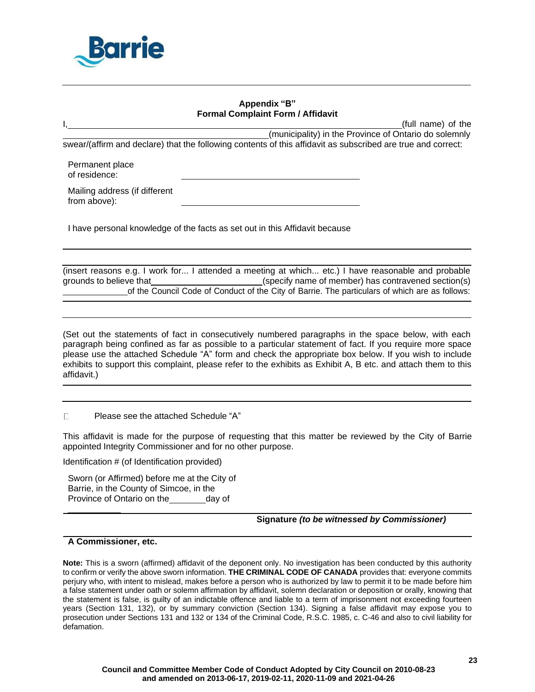

# **Appendix "B" Formal Complaint Form / Affidavit**

<span id="page-22-0"></span>(full name) of the (municipality) in the Province of Ontario do solemnly swear/(affirm and declare) that the following contents of this affidavit as subscribed are true and correct:

Permanent place of residence:

Mailing address (if different from above):

I have personal knowledge of the facts as set out in this Affidavit because

|                         | (insert reasons e.g. I work for I attended a meeting at which etc.) I have reasonable and probable |
|-------------------------|----------------------------------------------------------------------------------------------------|
| grounds to believe that | (specify name of member) has contravened section(s)                                                |
|                         | of the Council Code of Conduct of the City of Barrie. The particulars of which are as follows:     |

(Set out the statements of fact in consecutively numbered paragraphs in the space below, with each paragraph being confined as far as possible to a particular statement of fact. If you require more space please use the attached [Schedule "A" f](#page-23-0)orm and check the appropriate box below. If you wish to include exhibits to support this complaint, please refer to the exhibits as Exhibit A, B etc. and attach them to this affidavit.)

Please see the attached [Schedule](#page-23-0) "A"  $\Box$ 

This affidavit is made for the purpose of requesting that this matter be reviewed by the City of Barrie appointed Integrity Commissioner and for no other purpose.

Identification # (of Identification provided)

Sworn (or Affirmed) before me at the City of Barrie, in the County of Simcoe, in the Province of Ontario on the day of

**Signature** *(to be witnessed by Commissioner)*

# **A Commissioner, etc.**

**Note:** This is a sworn (affirmed) affidavit of the deponent only. No investigation has been conducted by this authority to confirm or verify the above sworn information. **THE CRIMINAL CODE OF CANADA** provides that: everyone commits perjury who, with intent to mislead, makes before a person who is authorized by law to permit it to be made before him a false statement under oath or solemn affirmation by affidavit, solemn declaration or deposition or orally, knowing that the statement is false, is guilty of an indictable offence and liable to a term of imprisonment not exceeding fourteen years (Section 131, 132), or by summary conviction (Section 134). Signing a false affidavit may expose you to prosecution under Sections 131 and 132 or 134 of the Criminal Code, R.S.C. 1985, c. C-46 and also to civil liability for defamation.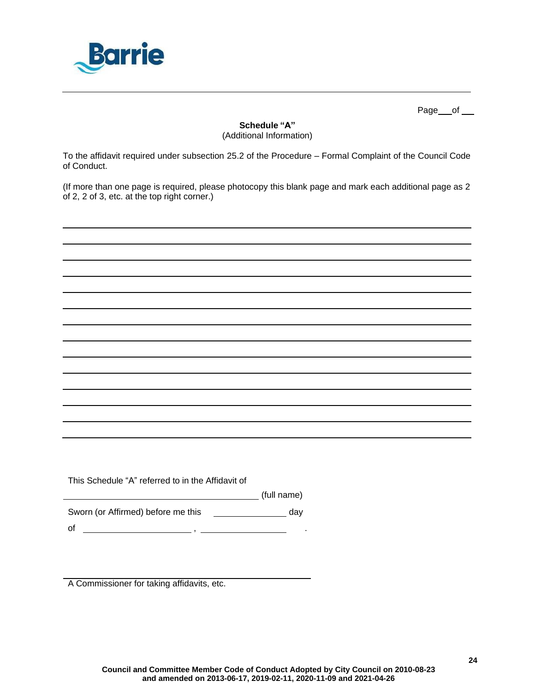

Page \_\_ of \_\_

# **Schedule "A"** (Additional Information)

<span id="page-23-0"></span>To the affidavit required under subsection [25.2](#page-14-0) of the Procedure – Formal Complaint of the Council Code of Conduct.

(If more than one page is required, please photocopy this blank page and mark each additional page as 2 of 2, 2 of 3, etc. at the top right corner.)

This [Schedule](#page-23-0) "A" referred to in the Affidavit of

(full name)

Sworn (or Affirmed) before me this \_\_\_\_\_\_\_\_\_\_\_\_\_\_\_\_\_ day

of  $\overline{\phantom{a}}$  ,  $\overline{\phantom{a}}$  ,  $\overline{\phantom{a}}$  ,  $\overline{\phantom{a}}$  ,  $\overline{\phantom{a}}$ 

A Commissioner for taking affidavits, etc.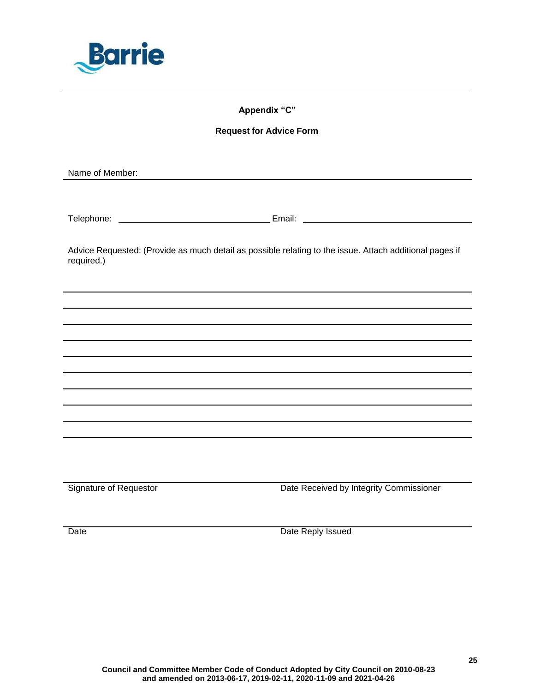<span id="page-24-0"></span>

# **Appendix "C"**

# **Request for Advice Form**

Name of Member:

Telephone: Email:

Advice Requested: (Provide as much detail as possible relating to the issue. Attach additional pages if required.)

Signature of Requestor **Date Received by Integrity Commissioner** Date Received by Integrity Commissioner

Date **Date Reply Issued**